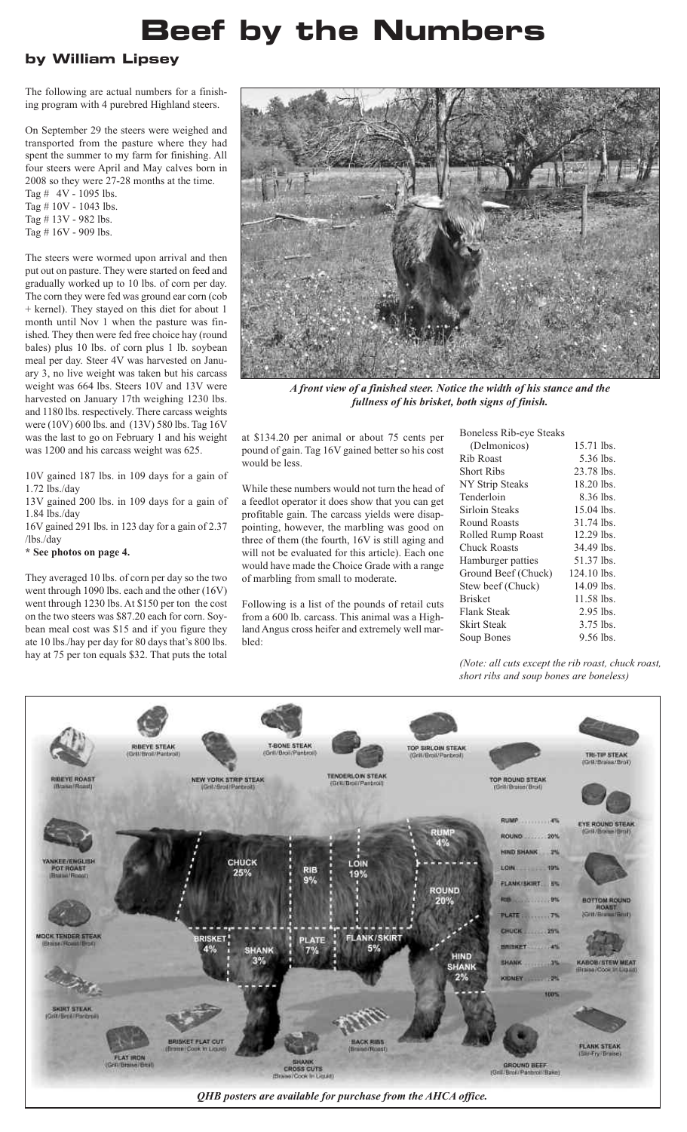## **Beef by the Numbers**

## **by William Lipsey**

The following are actual numbers for a finishing program with 4 purebred Highland steers.

On September 29 the steers were weighed and transported from the pasture where they had spent the summer to my farm for finishing. All four steers were April and May calves born in 2008 so they were 27-28 months at the time.

Tag  $#$  4V - 1095 lbs. Tag # 10V - 1043 lbs.

Tag # 13V - 982 lbs.

Tag # 16V - 909 lbs.

The steers were wormed upon arrival and then put out on pasture. They were started on feed and gradually worked up to 10 lbs. of corn per day. The corn they were fed was ground ear corn (cob + kernel). They stayed on this diet for about 1 month until Nov 1 when the pasture was finished. They then were fed free choice hay (round bales) plus 10 lbs. of corn plus 1 lb. soybean meal per day. Steer 4V was harvested on January 3, no live weight was taken but his carcass weight was 664 lbs. Steers 10V and 13V were harvested on January 17th weighing 1230 lbs. and 1180 lbs. respectively. There carcass weights were (10V) 600 lbs. and (13V) 580 lbs. Tag 16V was the last to go on February 1 and his weight was 1200 and his carcass weight was 625.

10V gained 187 lbs. in 109 days for a gain of 1.72 lbs./day

13V gained 200 lbs. in 109 days for a gain of 1.84 lbs./day

16V gained 291 lbs. in 123 day for a gain of 2.37 /lbs./day

**\* See photos on page 4.**

They averaged 10 lbs. of corn per day so the two went through 1090 lbs. each and the other (16V) went through 1230 lbs. At \$150 per ton the cost on the two steers was \$87.20 each for corn. Soybean meal cost was \$15 and if you figure they ate 10 lbs./hay per day for 80 days that's 800 lbs. hay at 75 per ton equals \$32. That puts the total



*A front view of a finished steer. Notice the width of his stance and the fullness of his brisket, both signs of finish.*

at \$134.20 per animal or about 75 cents per pound of gain. Tag 16V gained better so his cost would be less.

While these numbers would not turn the head of a feedlot operator it does show that you can get profitable gain. The carcass yields were disappointing, however, the marbling was good on three of them (the fourth, 16V is still aging and will not be evaluated for this article). Each one would have made the Choice Grade with a range of marbling from small to moderate.

Following is a list of the pounds of retail cuts from a 600 lb. carcass. This animal was a Highland Angus cross heifer and extremely well marbled:

| 15.71 lbs.<br>5.36 lbs.<br>23.78 lbs.<br>18.20 lbs.<br>8.36 lbs.<br>15.04 lbs.<br>31.74 lbs.<br>12.29 lbs.<br>34.49 lbs.<br>51.37 lbs.<br>124.10 lbs.<br>14.09 lbs.<br>11.58 lbs.<br>2.95 lbs.<br>3.75 lbs.<br>9.56 lbs. |
|--------------------------------------------------------------------------------------------------------------------------------------------------------------------------------------------------------------------------|

*(Note: all cuts except the rib roast, chuck roast, short ribs and soup bones are boneless)*